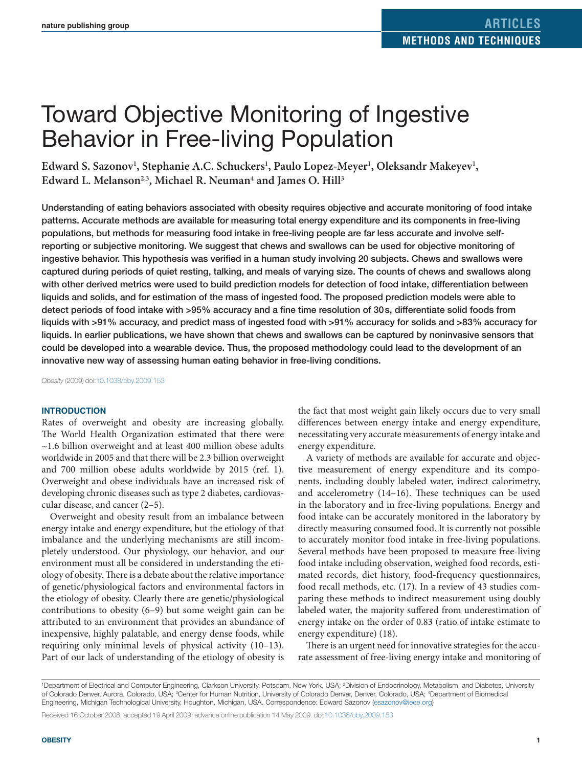# Toward Objective Monitoring of Ingestive Behavior in Free-living Population

Edward S. Sazonov<sup>1</sup>, Stephanie A.C. Schuckers<sup>1</sup>, Paulo Lopez-Meyer<sup>1</sup>, Oleksandr Makeyev<sup>1</sup>, **Edward L. Melanson2,3 , Michael R. Neuman4 and James O. Hill3**

Understanding of eating behaviors associated with obesity requires objective and accurate monitoring of food intake patterns. Accurate methods are available for measuring total energy expenditure and its components in free-living populations, but methods for measuring food intake in free-living people are far less accurate and involve selfreporting or subjective monitoring. We suggest that chews and swallows can be used for objective monitoring of ingestive behavior. This hypothesis was verified in a human study involving 20 subjects. Chews and swallows were captured during periods of quiet resting, talking, and meals of varying size. The counts of chews and swallows along with other derived metrics were used to build prediction models for detection of food intake, differentiation between liquids and solids, and for estimation of the mass of ingested food. The proposed prediction models were able to detect periods of food intake with >95% accuracy and a fine time resolution of 30s, differentiate solid foods from liquids with >91% accuracy, and predict mass of ingested food with >91% accuracy for solids and >83% accuracy for liquids. In earlier publications, we have shown that chews and swallows can be captured by noninvasive sensors that could be developed into a wearable device. Thus, the proposed methodology could lead to the development of an innovative new way of assessing human eating behavior in free-living conditions.

*Obesity* (2009) doi:10.1038/oby.2009.153

### **Introduction**

Rates of overweight and obesity are increasing globally. The World Health Organization estimated that there were ~1.6 billion overweight and at least 400 million obese adults worldwide in 2005 and that there will be 2.3 billion overweight and 700 million obese adults worldwide by 2015 (ref. 1). Overweight and obese individuals have an increased risk of developing chronic diseases such as type 2 diabetes, cardiovascular disease, and cancer (2–5).

Overweight and obesity result from an imbalance between energy intake and energy expenditure, but the etiology of that imbalance and the underlying mechanisms are still incompletely understood. Our physiology, our behavior, and our environment must all be considered in understanding the etiology of obesity. There is a debate about the relative importance of genetic/physiological factors and environmental factors in the etiology of obesity. Clearly there are genetic/physiological contributions to obesity (6–9) but some weight gain can be attributed to an environment that provides an abundance of inexpensive, highly palatable, and energy dense foods, while requiring only minimal levels of physical activity (10–13). Part of our lack of understanding of the etiology of obesity is

the fact that most weight gain likely occurs due to very small differences between energy intake and energy expenditure, necessitating very accurate measurements of energy intake and energy expenditure.

A variety of methods are available for accurate and objective measurement of energy expenditure and its components, including doubly labeled water, indirect calorimetry, and accelerometry (14–16). These techniques can be used in the laboratory and in free-living populations. Energy and food intake can be accurately monitored in the laboratory by directly measuring consumed food. It is currently not possible to accurately monitor food intake in free-living populations. Several methods have been proposed to measure free-living food intake including observation, weighed food records, estimated records, diet history, food-frequency questionnaires, food recall methods, etc. (17). In a review of 43 studies comparing these methods to indirect measurement using doubly labeled water, the majority suffered from underestimation of energy intake on the order of 0.83 (ratio of intake estimate to energy expenditure) (18).

There is an urgent need for innovative strategies for the accurate assessment of free-living energy intake and monitoring of

Received 16 October 2008; accepted 19 April 2009; advance online publication 14 May 2009. doi:10.1038/oby.2009.153

<sup>&</sup>lt;sup>1</sup>Department of Electrical and Computer Engineering, Clarkson University, Potsdam, New York, USA; <sup>2</sup>Division of Endocrinology, Metabolism, and Diabetes, University of Colorado Denver, Aurora, Colorado, USA; <sup>3</sup>Center for Human Nutrition, University of Colorado Denver, Denver, Colorado, USA; <sup>4</sup>Department of Biomedical Engineering, Michigan Technological University, Houghton, Michigan, USA. Correspondence: Edward Sazonov (esazonov@ieee.org)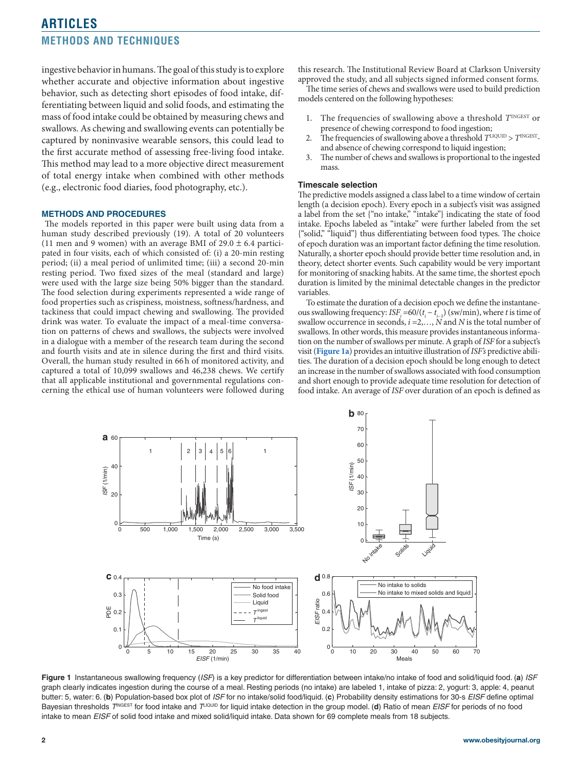# **articles Methods and Techniques**

ingestive behavior in humans. The goal of this study is to explore whether accurate and objective information about ingestive behavior, such as detecting short episodes of food intake, differentiating between liquid and solid foods, and estimating the mass of food intake could be obtained by measuring chews and swallows. As chewing and swallowing events can potentially be captured by noninvasive wearable sensors, this could lead to the first accurate method of assessing free-living food intake. This method may lead to a more objective direct measurement of total energy intake when combined with other methods (e.g., electronic food diaries, food photography, etc.).

### **Methods and procedures**

 The models reported in this paper were built using data from a human study described previously (19). A total of 20 volunteers (11 men and 9 women) with an average BMI of  $29.0 \pm 6.4$  participated in four visits, each of which consisted of: (i) a 20-min resting period; (ii) a meal period of unlimited time; (iii) a second 20-min resting period. Two fixed sizes of the meal (standard and large) were used with the large size being 50% bigger than the standard. The food selection during experiments represented a wide range of food properties such as crispiness, moistness, softness/hardness, and tackiness that could impact chewing and swallowing. The provided drink was water. To evaluate the impact of a meal-time conversation on patterns of chews and swallows, the subjects were involved in a dialogue with a member of the research team during the second and fourth visits and ate in silence during the first and third visits. Overall, the human study resulted in 66 h of monitored activity, and captured a total of 10,099 swallows and 46,238 chews. We certify that all applicable institutional and governmental regulations concerning the ethical use of human volunteers were followed during

this research. The Institutional Review Board at Clarkson University approved the study, and all subjects signed informed consent forms.

The time series of chews and swallows were used to build prediction models centered on the following hypotheses:

- 1. The frequencies of swallowing above a threshold  $T^{\text{INGEST}}$  or presence of chewing correspond to food ingestion;
- 2. The frequencies of swallowing above a threshold  $T^{\text{LIQUID}} > T^{\text{INGEST}}$ and absence of chewing correspond to liquid ingestion;
- 3. The number of chews and swallows is proportional to the ingested mass.

### **Timescale selection**

The predictive models assigned a class label to a time window of certain length (a decision epoch). Every epoch in a subject's visit was assigned a label from the set {"no intake," "intake"} indicating the state of food intake. Epochs labeled as "intake" were further labeled from the set {"solid," "liquid"} thus differentiating between food types. The choice of epoch duration was an important factor defining the time resolution. Naturally, a shorter epoch should provide better time resolution and, in theory, detect shorter events. Such capability would be very important for monitoring of snacking habits. At the same time, the shortest epoch duration is limited by the minimal detectable changes in the predictor variables.

To estimate the duration of a decision epoch we define the instantaneous swallowing frequency:  $ISF_i = 60/(t_i - t_{i-1})$  (sw/min), where *t* is time of swallow occurrence in seconds, *i* =2,…, *N* and *N* is the total number of swallows. In other words, this measure provides instantaneous information on the number of swallows per minute. A graph of *ISF* for a subject's visit (**Figure 1a**) provides an intuitive illustration of *ISF's* predictive abilities. The duration of a decision epoch should be long enough to detect an increase in the number of swallows associated with food consumption and short enough to provide adequate time resolution for detection of food intake. An average of *ISF* over duration of an epoch is defined as



**Figure 1** Instantaneous swallowing frequency (*ISF*) is a key predictor for differentiation between intake/no intake of food and solid/liquid food. (**a**) *ISF* graph clearly indicates ingestion during the course of a meal. Resting periods (no intake) are labeled 1, intake of pizza: 2, yogurt: 3, apple: 4, peanut butter: 5, water: 6. (**b**) Population-based box plot of *ISF* for no intake/solid food/liquid. (**c**) Probability density estimations for 30-s *EISF* define optimal Bayesian thresholds  $T^{NGEST}$  for food intake and  $T^{LlQUID}$  for liquid intake detection in the group model. (d) Ratio of mean *EISF* for periods of no food intake to mean *EISF* of solid food intake and mixed solid/liquid intake. Data shown for 69 complete meals from 18 subjects.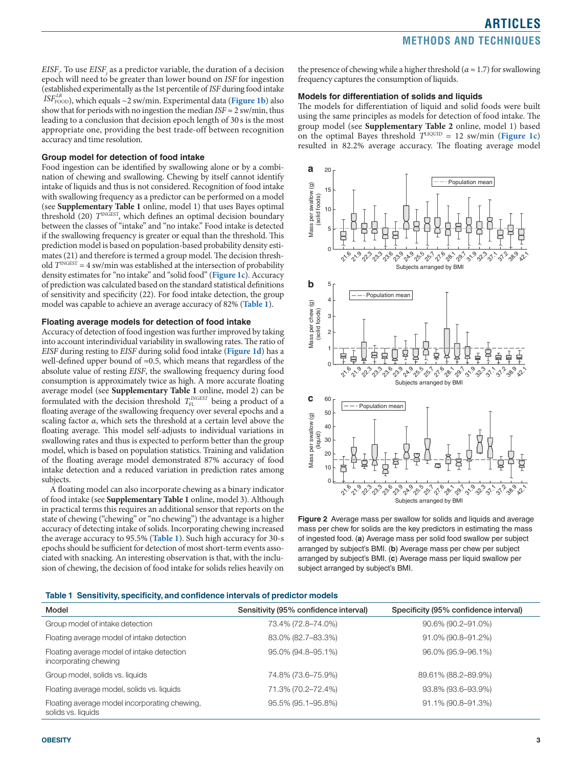*EISF<sub>j</sub>*. To use *EISF<sub>j</sub>* as a predictor variable, the duration of a decision epoch will need to be greater than lower bound on *ISF* for ingestion (established experimentally as the 1st percentile of *ISF* during food intake  $^{ISF^{LB}}_{\text{FOOD}}$ , which equals ~2 sw/min. Experimental data (**Figure 1b**) also show that for periods with no ingestion the median  $ISF \approx 2$  sw/min, thus leading to a conclusion that decision epoch length of 30 s is the most appropriate one, providing the best trade-off between recognition accuracy and time resolution.

## **Group model for detection of food intake**

Food ingestion can be identified by swallowing alone or by a combination of chewing and swallowing. Chewing by itself cannot identify intake of liquids and thus is not considered. Recognition of food intake with swallowing frequency as a predictor can be performed on a model (see **Supplementary Table 1** online, model 1) that uses Bayes optimal threshold (20) *T<sup>INGEST</sup>*, which defines an optimal decision boundary between the classes of "intake" and "no intake." Food intake is detected if the swallowing frequency is greater or equal than the threshold. This prediction model is based on population-based probability density estimates (21) and therefore is termed a group model. The decision threshold  $T^{INGEST} = 4$  sw/min was established at the intersection of probability density estimates for "no intake" and "solid food" (**Figure 1c**). Accuracy of prediction was calculated based on the standard statistical definitions of sensitivity and specificity (22). For food intake detection, the group model was capable to achieve an average accuracy of 82% (**Table 1**).

### **Floating average models for detection of food intake**

Accuracy of detection of food ingestion was further improved by taking into account interindividual variability in swallowing rates. The ratio of *EISF* during resting to *EISF* during solid food intake (**Figure 1d**) has a well-defined upper bound of ≈0.5, which means that regardless of the absolute value of resting *EISF*, the swallowing frequency during food consumption is approximately twice as high. A more accurate floating average model (see **Supplementary Table 1** online, model 2) can be formulated with the decision threshold  $T_{FL}^{INGEST}$  being a product of a floating average of the swallowing frequency over several epochs and a scaling factor *α*, which sets the threshold at a certain level above the floating average. This model self-adjusts to individual variations in swallowing rates and thus is expected to perform better than the group model, which is based on population statistics. Training and validation of the floating average model demonstrated 87% accuracy of food intake detection and a reduced variation in prediction rates among subjects.

A floating model can also incorporate chewing as a binary indicator of food intake (see **Supplementary Table 1** online, model 3). Although in practical terms this requires an additional sensor that reports on the state of chewing ("chewing" or "no chewing") the advantage is a higher accuracy of detecting intake of solids. Incorporating chewing increased the average accuracy to 95.5% (**Table 1**). Such high accuracy for 30-s epochs should be sufficient for detection of most short-term events associated with snacking. An interesting observation is that, with the inclusion of chewing, the decision of food intake for solids relies heavily on

the presence of chewing while a higher threshold ( $\alpha \approx 1.7$ ) for swallowing frequency captures the consumption of liquids.

### **Models for differentiation of solids and liquids**

The models for differentiation of liquid and solid foods were built using the same principles as models for detection of food intake. The group model (see **Supplementary Table 2** online, model 1) based on the optimal Bayes threshold  $T^{LIQUID} = 12$  sw/min (**Figure 1c**) resulted in 82.2% average accuracy. The floating average model



**Figure 2** Average mass per swallow for solids and liquids and average mass per chew for solids are the key predictors in estimating the mass of ingested food. (**a**) Average mass per solid food swallow per subject arranged by subject's BMI. (**b**) Average mass per chew per subject arranged by subject's BMI. (**c**) Average mass per liquid swallow per subject arranged by subject's BMI.

### **Table 1 Sensitivity, specificity, and confidence intervals of predictor models**

| Model                                                               | Sensitivity (95% confidence interval) | Specificity (95% confidence interval) |
|---------------------------------------------------------------------|---------------------------------------|---------------------------------------|
| Group model of intake detection                                     | 73.4% (72.8–74.0%)                    | 90.6% (90.2-91.0%)                    |
| Floating average model of intake detection                          | 83.0% (82.7–83.3%)                    | 91.0% (90.8-91.2%)                    |
| Floating average model of intake detection<br>incorporating chewing | 95.0% (94.8-95.1%)                    | 96.0% (95.9–96.1%)                    |
| Group model, solids vs. liquids                                     | 74.8% (73.6–75.9%)                    | 89.61% (88.2-89.9%)                   |
| Floating average model, solids vs. liquids                          | 71.3% (70.2–72.4%)                    | 93.8% (93.6–93.9%)                    |
| Floating average model incorporating chewing,<br>solids vs. liquids | 95.5% (95.1–95.8%)                    | 91.1% (90.8–91.3%)                    |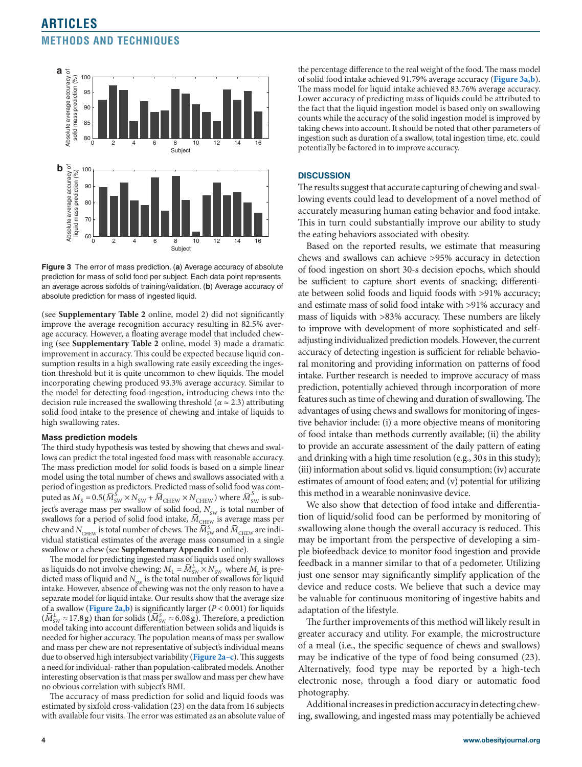# **articles Methods and Techniques**



**Figure 3** The error of mass prediction. (**a**) Average accuracy of absolute prediction for mass of solid food per subject. Each data point represents an average across sixfolds of training/validation. (**b**) Average accuracy of absolute prediction for mass of ingested liquid.

(see **Supplementary Table 2** online, model 2) did not significantly improve the average recognition accuracy resulting in 82.5% average accuracy. However, a floating average model that included chewing (see **Supplementary Table 2** online, model 3) made a dramatic improvement in accuracy. This could be expected because liquid consumption results in a high swallowing rate easily exceeding the ingestion threshold but it is quite uncommon to chew liquids. The model incorporating chewing produced 93.3% average accuracy. Similar to the model for detecting food ingestion, introducing chews into the decision rule increased the swallowing threshold ( $\alpha \approx 2.3$ ) attributing solid food intake to the presence of chewing and intake of liquids to high swallowing rates.

# **Mass prediction models**

The third study hypothesis was tested by showing that chews and swallows can predict the total ingested food mass with reasonable accuracy. The mass prediction model for solid foods is based on a simple linear model using the total number of chews and swallows associated with a period of ingestion as predictors. Predicted mass of solid food was computed as  $M_s = 0.5(\bar{M}_{SW}^{\hat{S}} \times N_{SW} + \bar{M}_{CHEW} \times N_{CHEW})$  where  $\bar{M}_{SW}^{\hat{S}}$  is subject's average mass per swallow of solid food,  $N_{\text{sw}}$  is total number of swallows for a period of solid food intake,  $\overline{M}_{\text{CHEW}}$  is average mass per chew and  $N_{\text{CHEW}}$  is total number of chews. The  $\bar{M}^{\scriptscriptstyle S}_{\scriptscriptstyle\rm SW}$  and  $\bar{M}_{\scriptscriptstyle\rm CHEW}$  are individual statistical estimates of the average mass consumed in a single swallow or a chew (see **Supplementary Appendix 1** online).

The model for predicting ingested mass of liquids used only swallows as liquids do not involve chewing:  $M_L = \overline{M}_{SW}^L \times N_{SW}$  where  $M_L$  is predicted mass of liquid and  $N_{_{\mathrm{SW}}}$  is the total number of swallows for liquid intake. However, absence of chewing was not the only reason to have a separate model for liquid intake. Our results show that the average size of a swallow (**Figure 2a,b**) is significantly larger (*P* < 0.001) for liquids  $(\bar{M}^L_{\text{sw}} \approx 17.8 \text{ g})$  than for solids  $(\bar{M}^S_{\text{sw}} \approx 6.08 \text{ g})$ . Therefore, a prediction model taking into account differentiation between solids and liquids is needed for higher accuracy. The population means of mass per swallow and mass per chew are not representative of subject's individual means due to observed high intersubject variability (**Figure 2a–c**). This suggests a need for individual- rather than population-calibrated models. Another interesting observation is that mass per swallow and mass per chew have no obvious correlation with subject's BMI.

The accuracy of mass prediction for solid and liquid foods was estimated by sixfold cross-validation (23) on the data from 16 subjects with available four visits. The error was estimated as an absolute value of

the percentage difference to the real weight of the food. The mass model of solid food intake achieved 91.79% average accuracy (**Figure 3a,b**). The mass model for liquid intake achieved 83.76% average accuracy. Lower accuracy of predicting mass of liquids could be attributed to the fact that the liquid ingestion model is based only on swallowing counts while the accuracy of the solid ingestion model is improved by taking chews into account. It should be noted that other parameters of ingestion such as duration of a swallow, total ingestion time, etc. could potentially be factored in to improve accuracy.

### **Discussion**

The results suggest that accurate capturing of chewing and swallowing events could lead to development of a novel method of accurately measuring human eating behavior and food intake. This in turn could substantially improve our ability to study the eating behaviors associated with obesity.

Based on the reported results, we estimate that measuring chews and swallows can achieve >95% accuracy in detection of food ingestion on short 30-s decision epochs, which should be sufficient to capture short events of snacking; differentiate between solid foods and liquid foods with >91% accuracy; and estimate mass of solid food intake with >91% accuracy and mass of liquids with >83% accuracy. These numbers are likely to improve with development of more sophisticated and selfadjusting individualized prediction models. However, the current accuracy of detecting ingestion is sufficient for reliable behavioral monitoring and providing information on patterns of food intake. Further research is needed to improve accuracy of mass prediction, potentially achieved through incorporation of more features such as time of chewing and duration of swallowing. The advantages of using chews and swallows for monitoring of ingestive behavior include: (i) a more objective means of monitoring of food intake than methods currently available; (ii) the ability to provide an accurate assessment of the daily pattern of eating and drinking with a high time resolution (e.g., 30s in this study); (iii) information about solid vs. liquid consumption; (iv) accurate estimates of amount of food eaten; and (v) potential for utilizing this method in a wearable noninvasive device.

We also show that detection of food intake and differentiation of liquid/solid food can be performed by monitoring of swallowing alone though the overall accuracy is reduced. This may be important from the perspective of developing a simple biofeedback device to monitor food ingestion and provide feedback in a manner similar to that of a pedometer. Utilizing just one sensor may significantly simplify application of the device and reduce costs. We believe that such a device may be valuable for continuous monitoring of ingestive habits and adaptation of the lifestyle.

The further improvements of this method will likely result in greater accuracy and utility. For example, the microstructure of a meal (i.e., the specific sequence of chews and swallows) may be indicative of the type of food being consumed (23). Alternatively, food type may be reported by a high-tech electronic nose, through a food diary or automatic food photography.

Additional increases in prediction accuracy in detecting chewing, swallowing, and ingested mass may potentially be achieved